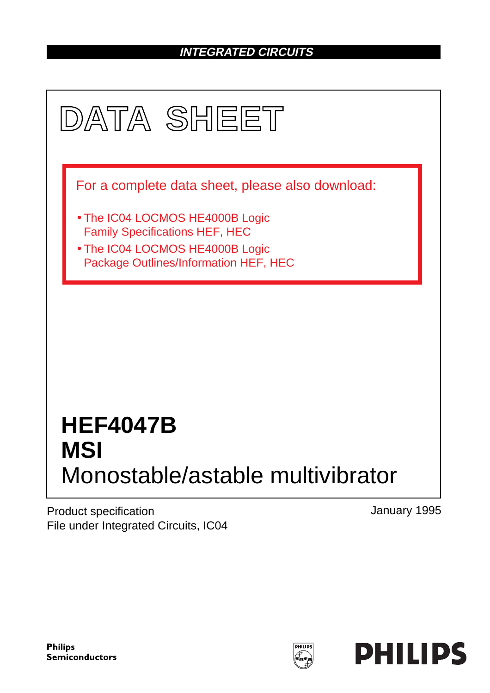### **INTEGRATED CIRCUITS**



Product specification File under Integrated Circuits, IC04 January 1995

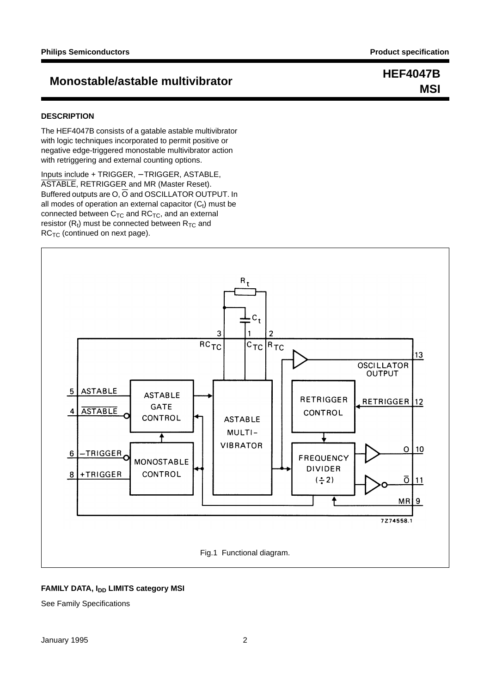## **Monostable/astable multivibrator HEF4047B**

#### **DESCRIPTION**

The HEF4047B consists of a gatable astable multivibrator with logic techniques incorporated to permit positive or negative edge-triggered monostable multivibrator action with retriggering and external counting options.

Inputs include + TRIGGER, − TRIGGER, ASTABLE, ASTABLE, RETRIGGER and MR (Master Reset). Buffered outputs are  $O$ ,  $\overline{O}$  and OSCILLATOR OUTPUT. In all modes of operation an external capacitor  $(C_t)$  must be connected between  $C_{TC}$  and  $RC_{TC}$ , and an external resistor  $(R_t)$  must be connected between  $R_{TC}$  and  $RC_{TC}$  (continued on next page).



#### **FAMILY DATA, I<sub>DD</sub> LIMITS category MSI**

See Family Specifications

## **MSI**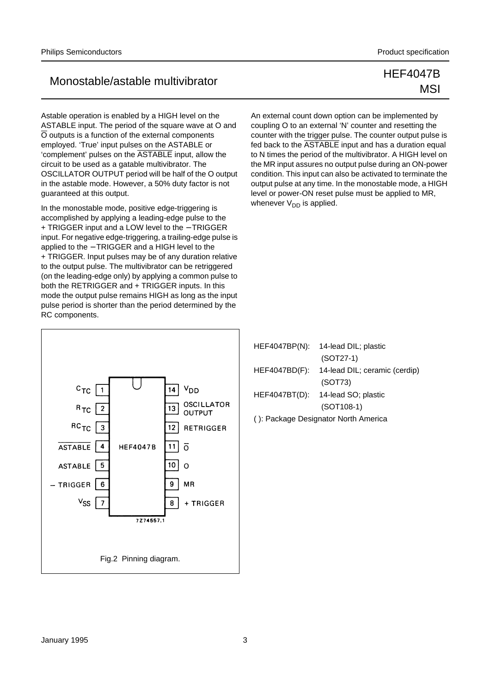Astable operation is enabled by a HIGH level on the ASTABLE input. The period of the square wave at O and  $\overline{O}$  outputs is a function of the external components employed. 'True' input pulses on the ASTABLE or 'complement' pulses on the ASTABLE input, allow the circuit to be used as a gatable multivibrator. The OSCILLATOR OUTPUT period will be half of the O output in the astable mode. However, a 50% duty factor is not guaranteed at this output.

In the monostable mode, positive edge-triggering is accomplished by applying a leading-edge pulse to the + TRIGGER input and a LOW level to the − TRIGGER input. For negative edge-triggering, a trailing-edge pulse is applied to the − TRIGGER and a HIGH level to the + TRIGGER. Input pulses may be of any duration relative to the output pulse. The multivibrator can be retriggered (on the leading-edge only) by applying a common pulse to both the RETRIGGER and + TRIGGER inputs. In this mode the output pulse remains HIGH as long as the input pulse period is shorter than the period determined by the RC components.



| HEF4047BP(N):                        | 14-lead DIL; plastic              |  |  |
|--------------------------------------|-----------------------------------|--|--|
|                                      | $(SOT27-1)$                       |  |  |
| HEF4047BD(F):                        | 14-lead DIL; ceramic (cerdip)     |  |  |
|                                      | (SOT73)                           |  |  |
|                                      | HEF4047BT(D): 14-lead SO; plastic |  |  |
|                                      | $(SOT108-1)$                      |  |  |
| (): Package Designator North America |                                   |  |  |

## MSI

An external count down option can be implemented by coupling O to an external 'N' counter and resetting the counter with the trigger pulse. The counter output pulse is fed back to the ASTABLE input and has a duration equal to N times the period of the multivibrator. A HIGH level on the MR input assures no output pulse during an ON-power condition. This input can also be activated to terminate the output pulse at any time. In the monostable mode, a HIGH level or power-ON reset pulse must be applied to MR, whenever  $V_{DD}$  is applied.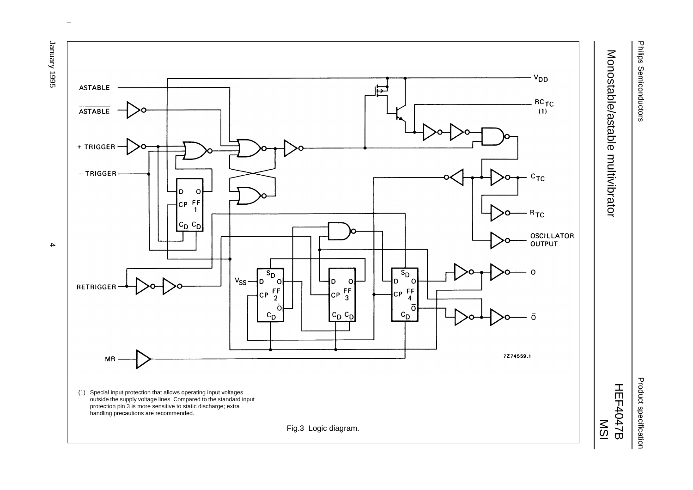

Product specification Product specification



 $\omega$  rotated correctly when browsing through the pdf in the Acrobat reader.This text is here in the pdf in the  $\alpha$ 

9661 Auenuer January 1995 4

 $\overline{4}$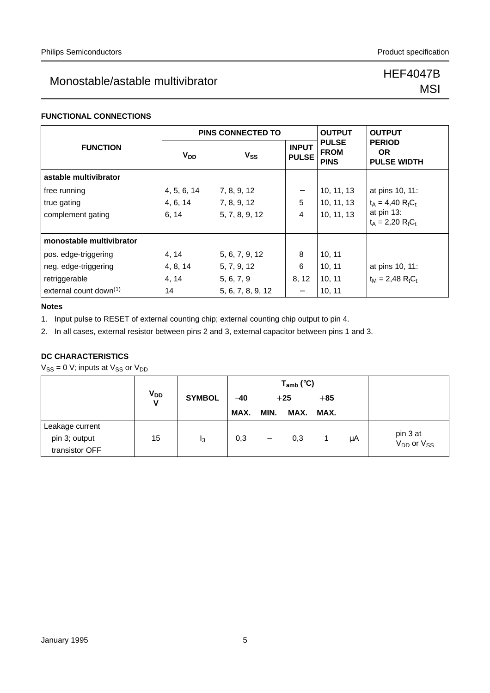# **MSI**

#### **FUNCTIONAL CONNECTIONS**

|                                    |             | <b>PINS CONNECTED TO</b> | <b>OUTPUT</b>                | <b>OUTPUT</b>                              |                                                  |
|------------------------------------|-------------|--------------------------|------------------------------|--------------------------------------------|--------------------------------------------------|
| <b>FUNCTION</b>                    | $V_{DD}$    | $V_{SS}$                 | <b>INPUT</b><br><b>PULSE</b> | <b>PULSE</b><br><b>FROM</b><br><b>PINS</b> | <b>PERIOD</b><br><b>OR</b><br><b>PULSE WIDTH</b> |
| astable multivibrator              |             |                          |                              |                                            |                                                  |
| free running                       | 4, 5, 6, 14 | 7, 8, 9, 12              |                              | 10, 11, 13                                 | at pins 10, 11:                                  |
| true gating                        | 4, 6, 14    | 7, 8, 9, 12              | 5                            | 10, 11, 13                                 | $t_A = 4,40 RtCt$                                |
| complement gating                  | 6, 14       | 5, 7, 8, 9, 12           | $\overline{4}$               | 10, 11, 13                                 | at pin 13:<br>$t_A = 2,20 RtCt$                  |
| monostable multivibrator           |             |                          |                              |                                            |                                                  |
| pos. edge-triggering               | 4, 14       | 5, 6, 7, 9, 12           | 8                            | 10, 11                                     |                                                  |
| neg. edge-triggering               | 4, 8, 14    | 5, 7, 9, 12              | 6                            | 10, 11                                     | at pins 10, 11:                                  |
| retriggerable                      | 4, 14       | 5, 6, 7, 9               | 8, 12                        | 10, 11                                     | $t_M = 2,48$ R <sub>t</sub> C <sub>t</sub>       |
| external count down <sup>(1)</sup> | 14          | 5, 6, 7, 8, 9, 12        |                              | 10, 11                                     |                                                  |

#### **Notes**

1. Input pulse to RESET of external counting chip; external counting chip output to pin 4.

2. In all cases, external resistor between pins 2 and 3, external capacitor between pins 1 and 3.

#### **DC CHARACTERISTICS**

 $V_{SS} = 0$  V; inputs at  $V_{SS}$  or  $V_{DD}$ 

|                                  |               |                |       |                          | $T_{amb}$ (°C) |       |    |                                                |
|----------------------------------|---------------|----------------|-------|--------------------------|----------------|-------|----|------------------------------------------------|
|                                  | $V_{DD}$<br>V | <b>SYMBOL</b>  | $-40$ |                          | $+25$          | $+85$ |    |                                                |
|                                  |               |                | MAX.  | MIN.                     | MAX.           | MAX.  |    |                                                |
| Leakage current<br>pin 3; output | 15            | I <sub>3</sub> | 0,3   | $\overline{\phantom{m}}$ | 0,3            |       | μA | pin 3 at<br>V <sub>DD</sub> or V <sub>SS</sub> |
| transistor OFF                   |               |                |       |                          |                |       |    |                                                |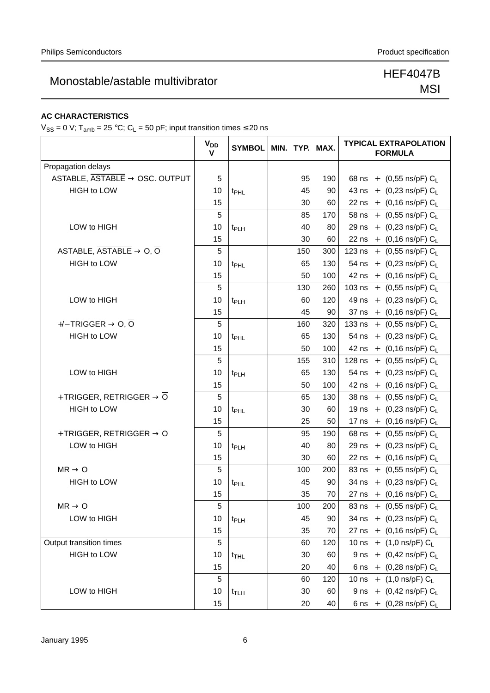# MSI

#### **AC CHARACTERISTICS**

 $V_{SS} = 0$  V; T<sub>amb</sub> = 25 °C; C<sub>L</sub> = 50 pF; input transition times  $\leq$  20 ns

|                                                                   | <b>V<sub>DD</sub></b><br>V | <b>SYMBOL</b>    | MIN. TYP. MAX. |     | <b>TYPICAL EXTRAPOLATION</b><br><b>FORMULA</b> |
|-------------------------------------------------------------------|----------------------------|------------------|----------------|-----|------------------------------------------------|
| Propagation delays                                                |                            |                  |                |     |                                                |
| ASTABLE, $\overline{ASTABLE} \rightarrow \overline{OSC}$ . OUTPUT | 5                          |                  | 95             | 190 | 68 ns + $(0,55 \text{ ns/pF}) C_{L}$           |
| <b>HIGH to LOW</b>                                                | 10                         | t <sub>PHL</sub> | 45             | 90  | 43 ns + $(0,23 \text{ ns/pF}) C_L$             |
|                                                                   | 15                         |                  | 30             | 60  | 22 ns + $(0,16 \text{ ns/pF}) C_L$             |
|                                                                   | 5                          |                  | 85             | 170 | 58 ns + $(0,55 \text{ ns/pF}) C_L$             |
| LOW to HIGH                                                       | 10                         | t <sub>PLH</sub> | 40             | 80  | 29 ns + $(0,23 \text{ ns/pF}) C_L$             |
|                                                                   | 15                         |                  | 30             | 60  | 22 ns + $(0,16 \text{ ns/pF}) C_L$             |
| ASTABLE, $\overline{ASTABLE} \rightarrow O, \overline{O}$         | 5                          |                  | 150            | 300 | 123 ns + $(0,55 \text{ ns/pF}) C_L$            |
| <b>HIGH to LOW</b>                                                | 10                         | t <sub>PHL</sub> | 65             | 130 | 54 ns + $(0,23 \text{ ns/pF}) C_L$             |
|                                                                   | 15                         |                  | 50             | 100 | 42 ns + $(0,16 \text{ ns/pF}) C_L$             |
|                                                                   | 5                          |                  | 130            | 260 | 103 ns + $(0,55 \text{ ns/pF}) C_L$            |
| LOW to HIGH                                                       | 10                         | t <sub>PLH</sub> | 60             | 120 | 49 ns + $(0,23 \text{ ns/pF}) C_L$             |
|                                                                   | 15                         |                  | 45             | 90  | 37 ns + $(0,16 \text{ ns/pF}) C_L$             |
| $+/-$ TRIGGER $\rightarrow$ 0, 0                                  | 5                          |                  | 160            | 320 | 133 ns + $(0,55 \text{ ns/pF}) C_L$            |
| <b>HIGH to LOW</b>                                                | 10                         | t <sub>PHL</sub> | 65             | 130 | 54 ns + $(0,23 \text{ ns/pF}) C_L$             |
|                                                                   | 15                         |                  | 50             | 100 | 42 ns + $(0,16 \text{ ns/pF}) C_L$             |
|                                                                   | 5                          |                  | 155            | 310 | 128 ns + $(0,55 \text{ ns/pF}) C_L$            |
| LOW to HIGH                                                       | 10                         | t <sub>PLH</sub> | 65             | 130 | 54 ns + $(0,23 \text{ ns/pF}) C_L$             |
|                                                                   | 15                         |                  | 50             | 100 | 42 ns + $(0,16 \text{ ns/pF}) C_L$             |
| + TRIGGER, RETRIGGER $\rightarrow \overline{O}$                   | 5                          |                  | 65             | 130 | 38 ns + $(0,55 \text{ ns/pF}) C_L$             |
| <b>HIGH to LOW</b>                                                | 10                         | t <sub>PHL</sub> | 30             | 60  | 19 ns + $(0,23 \text{ ns/pF}) C_L$             |
|                                                                   | 15                         |                  | 25             | 50  | 17 ns + $(0,16 \text{ ns/pF}) C_L$             |
| + TRIGGER, RETRIGGER $\rightarrow$ O                              | 5                          |                  | 95             | 190 | 68 ns + $(0,55 \text{ ns/pF}) C_L$             |
| LOW to HIGH                                                       | 10                         | t <sub>PLH</sub> | 40             | 80  | 29 ns + $(0,23 \text{ ns/pF}) C_L$             |
|                                                                   | 15                         |                  | 30             | 60  | 22 ns + $(0,16 \text{ ns/pF}) C_L$             |
| $MR \rightarrow Q$                                                | 5                          |                  | 100            | 200 | 83 ns + $(0,55 \text{ ns/pF}) C_L$             |
| <b>HIGH to LOW</b>                                                | 10                         | t <sub>PHL</sub> | 45             | 90  | 34 ns + $(0,23 \text{ ns/pF}) C_L$             |
|                                                                   | 15                         |                  | 35             | 70  | 27 ns + $(0,16 \text{ ns/pF}) C_L$             |
| $MR \rightarrow \overline{O}$                                     | 5                          |                  | 100            | 200 | 83 ns + (0,55 ns/pF) CL                        |
| LOW to HIGH                                                       | 10                         | t <sub>PLH</sub> | 45             | 90  | 34 ns + $(0,23 \text{ ns/pF}) C_1$             |
|                                                                   | 15                         |                  | 35             | 70  | 27 ns + $(0,16 \text{ ns/pF}) C_L$             |
| Output transition times                                           | 5                          |                  | 60             | 120 | 10 ns + $(1,0 \text{ ns/pF}) C_L$              |
| HIGH to LOW                                                       | 10                         | $t_{\text{THL}}$ | 30             | 60  | 9 ns + $(0,42 \text{ ns/pF}) C_L$              |
|                                                                   | 15                         |                  | 20             | 40  | 6 ns + $(0,28 \text{ ns/pF}) C_L$              |
|                                                                   | 5                          |                  | 60             | 120 | 10 ns + $(1,0 \text{ ns/pF}) C_L$              |
| LOW to HIGH                                                       | 10                         | $t_{\text{TLH}}$ | 30             | 60  | 9 ns + $(0,42 \text{ ns/pF}) C_L$              |
|                                                                   | 15                         |                  | 20             | 40  | 6 ns + $(0,28 \text{ ns/pF}) C_L$              |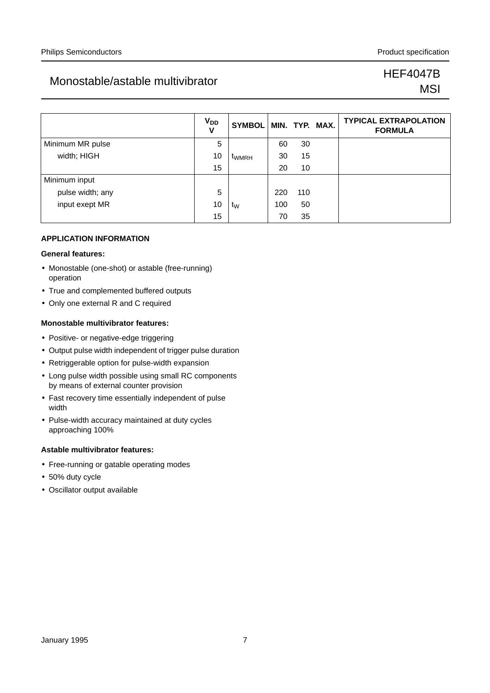# **MSI**

|                  | $V_{DD}$<br>v | <b>SYMBOL</b>  |     |     | MIN. TYP. MAX. | <b>TYPICAL EXTRAPOLATION</b><br><b>FORMULA</b> |
|------------------|---------------|----------------|-----|-----|----------------|------------------------------------------------|
| Minimum MR pulse | 5             |                | 60  | 30  |                |                                                |
| width; HIGH      | 10            | <b>TWMRH</b>   | 30  | 15  |                |                                                |
|                  | 15            |                | 20  | 10  |                |                                                |
| Minimum input    |               |                |     |     |                |                                                |
| pulse width; any | 5             |                | 220 | 110 |                |                                                |
| input exept MR   | 10            | t <sub>w</sub> | 100 | 50  |                |                                                |
|                  | 15            |                | 70  | 35  |                |                                                |

#### **APPLICATION INFORMATION**

#### **General features:**

- Monostable (one-shot) or astable (free-running) operation
- True and complemented buffered outputs
- Only one external R and C required

#### **Monostable multivibrator features:**

- Positive- or negative-edge triggering
- Output pulse width independent of trigger pulse duration
- Retriggerable option for pulse-width expansion
- Long pulse width possible using small RC components by means of external counter provision
- Fast recovery time essentially independent of pulse width
- Pulse-width accuracy maintained at duty cycles approaching 100%

#### **Astable multivibrator features:**

- Free-running or gatable operating modes
- 50% duty cycle
- Oscillator output available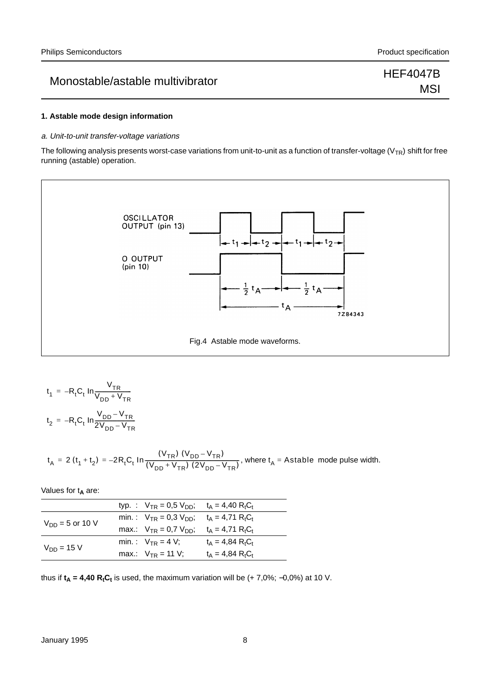## **MSI**

#### **1. Astable mode design information**

#### a. Unit-to-unit transfer-voltage variations

The following analysis presents worst-case variations from unit-to-unit as a function of transfer-voltage ( $V_{TR}$ ) shift for free running (astable) operation.



$$
t_1 = -R_t C_t \ln \frac{V_{TR}}{V_{DD} + V_{TR}}
$$
  

$$
t_2 = -R_t C_t \ln \frac{V_{DD} - V_{TR}}{2V_{DD} - V_{TR}}
$$

$$
t_A = 2(t_1 + t_2) = -2R_tC_t \ln \frac{(V_{TR}) (V_{DD} - V_{TR})}{(V_{DD} + V_{TR}) (2V_{DD} - V_{TR})}, \text{ where } t_A = \text{Astable mode pulse width.}
$$

Values for t<sub>A</sub> are:

|                      | typ. : $V_{TR} = 0.5 V_{DD}$ ; t <sub>A</sub> = 4.40 R <sub>t</sub> C <sub>t</sub> |                                |
|----------------------|------------------------------------------------------------------------------------|--------------------------------|
| $V_{DD} = 5$ or 10 V | min.: $V_{TR} = 0.3 V_{DD}$ ; $t_A = 4.71 RtCt$                                    |                                |
|                      | max.: $V_{TR} = 0.7 V_{DD}$ ; $t_A = 4.71 R_t C_t$                                 |                                |
| $V_{DD} = 15 V$      | min.: $V_{TR} = 4 V$ ;                                                             | $t_{\Delta} = 4.84 R_{t}C_{t}$ |
|                      | max.: $V_{TR} = 11 V$ ;                                                            | $t_{\Delta} = 4.84 R_{t}C_{t}$ |

thus if  $t_A = 4,40$  R<sub>t</sub>C<sub>t</sub> is used, the maximum variation will be  $(+ 7,0\%; -0,0\%)$  at 10 V.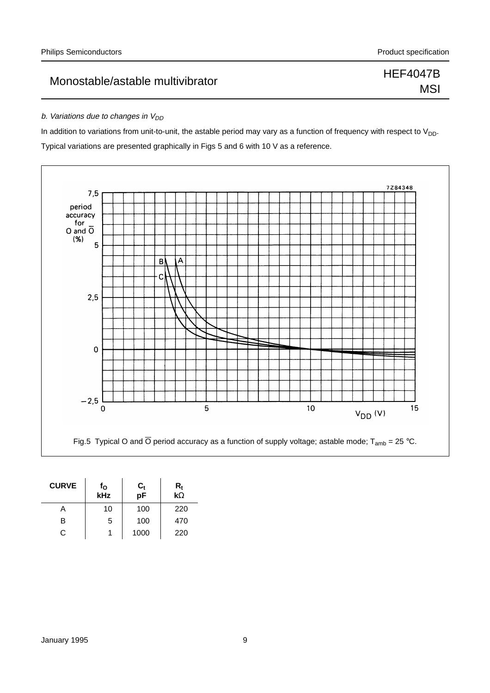## MSI

#### b. Variations due to changes in  $V_{DD}$

In addition to variations from unit-to-unit, the astable period may vary as a function of frequency with respect to  $V_{DD}$ . Typical variations are presented graphically in Figs 5 and 6 with 10 V as a reference.



| <b>CURVE</b> | f <sub>o</sub><br>kHz | $\frac{C_t}{pF}$ | $\frac{\mathsf{R}_{\mathsf{t}}}{\mathsf{k}\Omega}$ |
|--------------|-----------------------|------------------|----------------------------------------------------|
| A            | 10                    | 100              | 220                                                |
| R            | 5                     | 100              | 470                                                |
| C.           |                       | 1000             | 220                                                |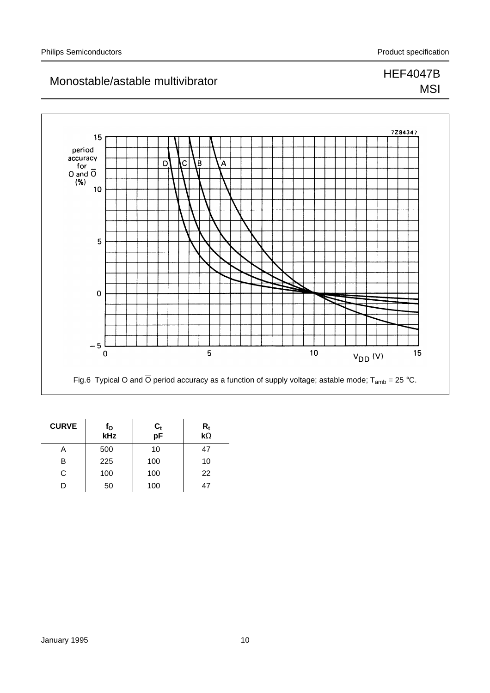### 7Z84347 15 period  $\frac{32}{10}$ <br>accuracy<br>for<br>0 and  $\overline{0}$ <br>(%)  $\overline{\mathsf{D}}$  $\overline{\overline{\text{c}}}$ ١B Α,  $10$  $\overline{5}$  $\mathbf{o}$  $-5$   $\overline{C}$ 5  $10$  $V_{DD}$  (V) 15 Fig.6 Typical O and  $\overline{O}$  period accuracy as a function of supply voltage; astable mode; T<sub>amb</sub> = 25 °C.

| <b>CURVE</b> | f <sub>o</sub><br>kHz | $\frac{C_t}{pF}$ | $\frac{R_t}{k\Omega}$ |
|--------------|-----------------------|------------------|-----------------------|
| A            | 500                   | 10               | 47                    |
| в            | 225                   | 100              | 10                    |
| C            | 100                   | 100              | 22                    |
|              | 50                    | 100              | 47                    |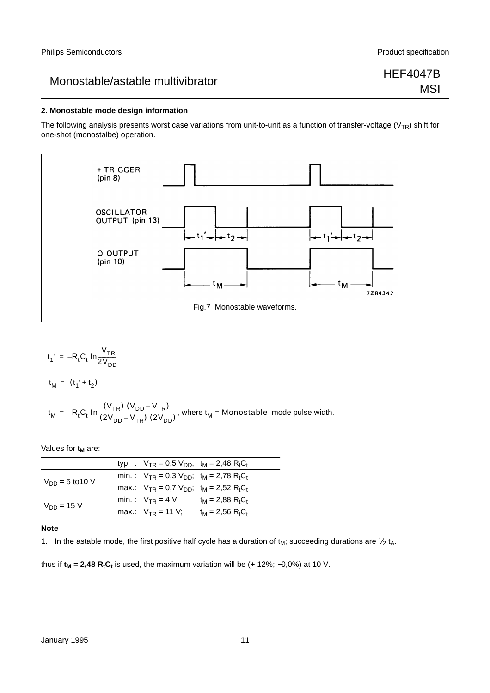### Monostable/astable multivibrator Monostable multivibrator expansion of the HEF4047B

# **MSI**

#### **2. Monostable mode design information**

The following analysis presents worst case variations from unit-to-unit as a function of transfer-voltage ( $V_{TR}$ ) shift for one-shot (monostalbe) operation.



$$
t_1' = -R_t C_t \ln \frac{V_{TR}}{2V_{DD}}
$$

$$
t_{M} = (t_{1}^{\prime} + t_{2})
$$

$$
t_M = -R_t C_t \ln \frac{(V_{TR}) (V_{DD} - V_{TR})}{(2V_{DD} - V_{TR}) (2V_{DD})}, \text{ where } t_M = \text{Monostable mode pulse width.}
$$

Values for t<sub>M</sub> are:

|                      | typ. : $V_{TR} = 0.5 V_{DD}$ ; t <sub>M</sub> = 2,48 R <sub>t</sub> C <sub>t</sub> |                                            |
|----------------------|------------------------------------------------------------------------------------|--------------------------------------------|
| $V_{DD} = 5$ to 10 V | min.: $V_{TR} = 0.3 V_{DD}$ ; $t_M = 2.78 RtCt$                                    |                                            |
|                      | max.: $V_{TR} = 0.7 V_{DD}$ ; $t_M = 2.52 RtCt$                                    |                                            |
| $V_{DD} = 15 V$      | min.: $V_{TR} = 4 V$ ; $t_M = 2.88 R_t C_t$                                        |                                            |
|                      | max.: $V_{TR} = 11 V$ ;                                                            | $t_M = 2,56$ R <sub>t</sub> C <sub>t</sub> |

#### **Note**

1. In the astable mode, the first positive half cycle has a duration of  $t_M$ ; succeeding durations are  $\frac{1}{2} t_A$ .

thus if  $t_M = 2,48$  R<sub>t</sub>C<sub>t</sub> is used, the maximum variation will be  $(+ 12\%; -0.0\%)$  at 10 V.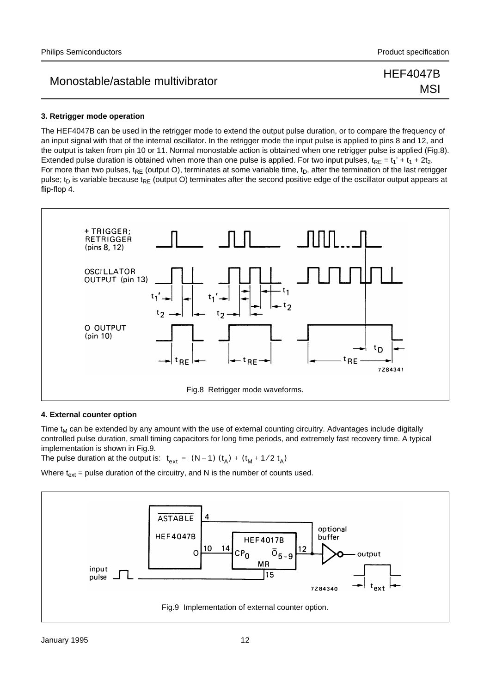MSI

#### **3. Retrigger mode operation**

The HEF4047B can be used in the retrigger mode to extend the output pulse duration, or to compare the frequency of an input signal with that of the internal oscillator. In the retrigger mode the input pulse is applied to pins 8 and 12, and the output is taken from pin 10 or 11. Normal monostable action is obtained when one retrigger pulse is applied (Fig.8). Extended pulse duration is obtained when more than one pulse is applied. For two input pulses,  $t_{RE} = t_1' + t_1 + 2t_2$ . For more than two pulses,  $t_{RE}$  (output O), terminates at some variable time,  $t_D$ , after the termination of the last retrigger pulse; t<sub>D</sub> is variable because t<sub>RF</sub> (output O) terminates after the second positive edge of the oscillator output appears at flip-flop 4.



#### **4. External counter option**

Time  $t_M$  can be extended by any amount with the use of external counting circuitry. Advantages include digitally controlled pulse duration, small timing capacitors for long time periods, and extremely fast recovery time. A typical implementation is shown in Fig.9.

The pulse duration at the output is:  $t_{ext} = (N-1) (t_A) + (t_M + 1/2 t_A)$ 

Where  $t_{ext}$  = pulse duration of the circuitry, and N is the number of counts used.

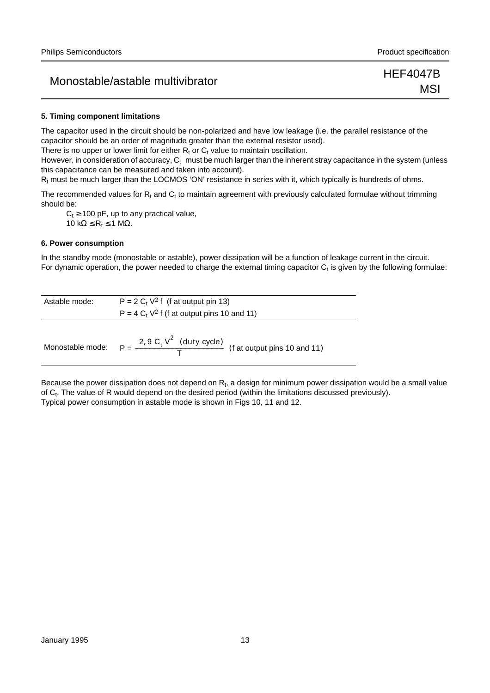### Monostable/astable multivibrator **HEF4047B**

MSI

#### **5. Timing component limitations**

The capacitor used in the circuit should be non-polarized and have low leakage (i.e. the parallel resistance of the capacitor should be an order of magnitude greater than the external resistor used).

There is no upper or lower limit for either  $R_t$  or  $C_t$  value to maintain oscillation.

However, in consideration of accuracy,  $C_t$  must be much larger than the inherent stray capacitance in the system (unless this capacitance can be measured and taken into account).

 $R<sub>t</sub>$  must be much larger than the LOCMOS 'ON' resistance in series with it, which typically is hundreds of ohms.

The recommended values for  $R_t$  and  $C_t$  to maintain agreement with previously calculated formulae without trimming should be:

 $C_t \geq 100$  pF, up to any practical value, 10 kΩ  $\leq$  R<sub>t</sub>  $\leq$  1 MΩ.

#### **6. Power consumption**

In the standby mode (monostable or astable), power dissipation will be a function of leakage current in the circuit. For dynamic operation, the power needed to charge the external timing capacitor  $C_t$  is given by the following formulae:

| Astable mode:    | $P = 2 C_t V^2 f$ (f at output pin 13)                                  |
|------------------|-------------------------------------------------------------------------|
|                  | $P = 4 C_t V^2$ f (f at output pins 10 and 11)                          |
| Monostable mode: | $P = \frac{(2, 9 C_t V^2)(duty cycle)}{T}$ (f at output pins 10 and 11) |

Because the power dissipation does not depend on  $R_t$ , a design for minimum power dissipation would be a small value of C<sub>t</sub>. The value of R would depend on the desired period (within the limitations discussed previously). Typical power consumption in astable mode is shown in Figs 10, 11 and 12.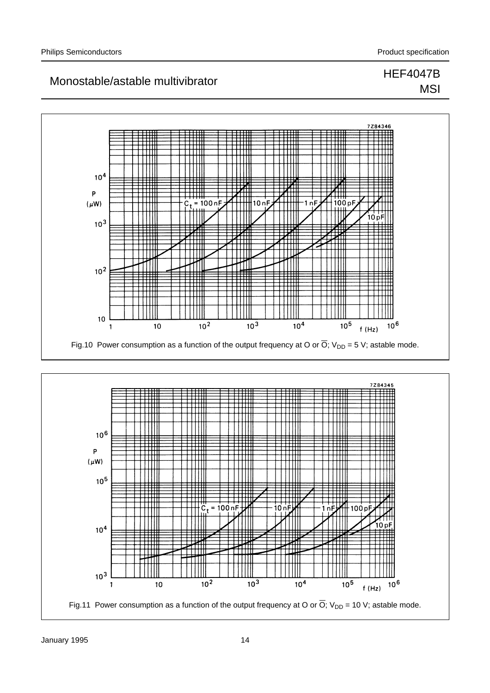### Monostable/astable multivibrator Monostable multivibrator expansion of the HEF4047B **MSI**

#### $0 A 2 A C$ ₶₶ ttii ĦΠ Ш TTI ∥  $10<sup>4</sup>$ ▦ ₩  $\mathsf{P}$ ₩  $(\mu W)$  $= 100$  nF  $10n$  $100pF$ ₩ ₩ Ш  $\blacksquare$ 10 pF  $10^{3}$ ₩ Ш tiill TII  $10<sup>2</sup>$ ₩ ╪╪╪╇╋ ่⊞ ПШ ┯┷ ┯╈╫ Ш  $\Box \Box$  $10$  $\frac{1}{10^3}$  $10<sup>2</sup>$  $10<sup>4</sup>$  $10^{5}$  $10^6$  $10$ 1  $f(Hz)$ Fig.10 Power consumption as a function of the output frequency at O or  $\overline{O}$ ; V<sub>DD</sub> = 5 V; astable mode.